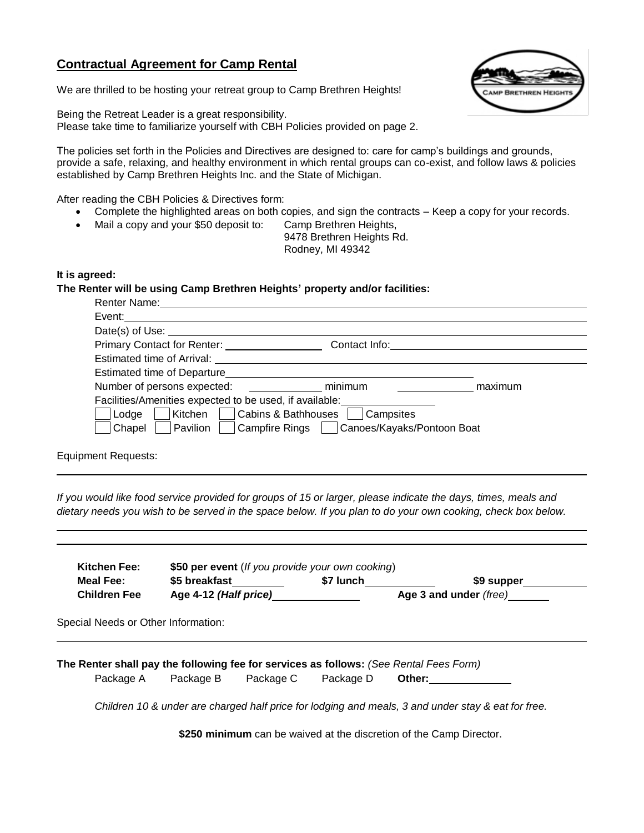# **Contractual Agreement for Camp Rental**

We are thrilled to be hosting your retreat group to Camp Brethren Heights!

Being the Retreat Leader is a great responsibility. Please take time to familiarize yourself with CBH Policies provided on page 2.

The policies set forth in the Policies and Directives are designed to: care for camp's buildings and grounds, provide a safe, relaxing, and healthy environment in which rental groups can co-exist, and follow laws & policies established by Camp Brethren Heights Inc. and the State of Michigan.

After reading the CBH Policies & Directives form:

- Complete the highlighted areas on both copies, and sign the contracts Keep a copy for your records.
- Mail a copy and your \$50 deposit to: Camp Brethren Heights,
	- 9478 Brethren Heights Rd. Rodney, MI 49342

#### **It is agreed:**

**The Renter will be using Camp Brethren Heights' property and/or facilities:**

| Renter Name:                                                      |               |         |
|-------------------------------------------------------------------|---------------|---------|
| Event:                                                            |               |         |
| Date(s) of Use: ___                                               |               |         |
| Primary Contact for Renter:                                       | Contact Info: |         |
| <b>Estimated time of Arrival:</b>                                 |               |         |
| Estimated time of Departure                                       |               |         |
| Number of persons expected:                                       | minimum       | maximum |
| Facilities/Amenities expected to be used, if available:           |               |         |
| Cabins & Bathhouses<br>Lodge<br>Kitchen<br>Campsites              |               |         |
| Campfire Rings   Canoes/Kayaks/Pontoon Boat<br>Chapel<br>Pavilion |               |         |
|                                                                   |               |         |

Equipment Requests:

*If you would like food service provided for groups of 15 or larger, please indicate the days, times, meals and dietary needs you wish to be served in the space below. If you plan to do your own cooking, check box below.*

| Meal Fee:                           | \$5 breakfast                                                                                                    | \$7 lunch | \$9 supper |
|-------------------------------------|------------------------------------------------------------------------------------------------------------------|-----------|------------|
| <b>Children Fee</b>                 | Age 4-12 (Half price)<br>Age 3 and under (free) _______                                                          |           |            |
|                                     |                                                                                                                  |           |            |
|                                     |                                                                                                                  |           |            |
| Special Needs or Other Information: |                                                                                                                  |           |            |
|                                     |                                                                                                                  |           |            |
|                                     |                                                                                                                  |           |            |
| Package A                           | The Renter shall pay the following fee for services as follows: (See Rental Fees Form)<br>Package B<br>Package C | Package D | Other:     |

**\$250 minimum** can be waived at the discretion of the Camp Director.

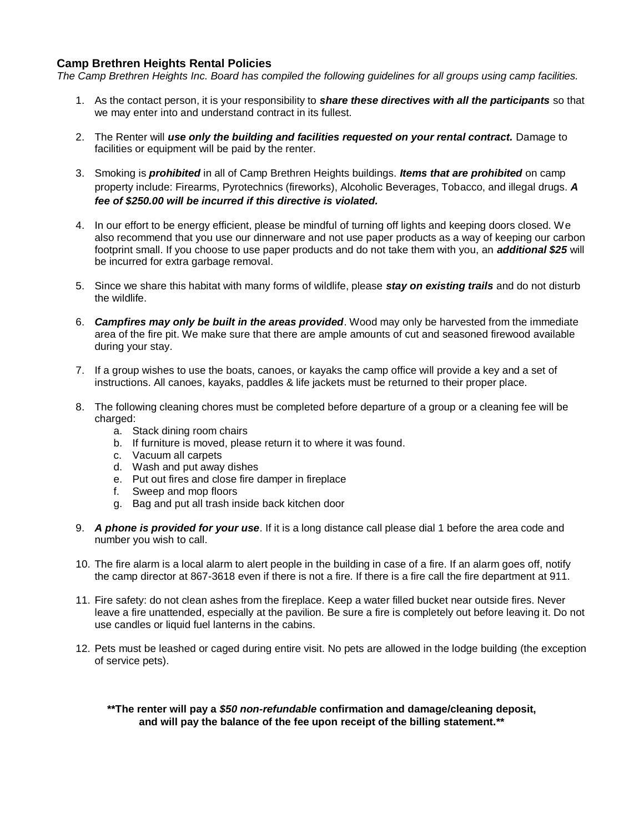## **Camp Brethren Heights Rental Policies**

*The Camp Brethren Heights Inc. Board has compiled the following guidelines for all groups using camp facilities.*

- 1. As the contact person, it is your responsibility to *share these directives with all the participants* so that we may enter into and understand contract in its fullest.
- 2. The Renter will *use only the building and facilities requested on your rental contract.* Damage to facilities or equipment will be paid by the renter.
- 3. Smoking is *prohibited* in all of Camp Brethren Heights buildings. *Items that are prohibited* on camp property include: Firearms, Pyrotechnics (fireworks), Alcoholic Beverages, Tobacco, and illegal drugs. *A fee of \$250.00 will be incurred if this directive is violated.*
- 4. In our effort to be energy efficient, please be mindful of turning off lights and keeping doors closed. We also recommend that you use our dinnerware and not use paper products as a way of keeping our carbon footprint small. If you choose to use paper products and do not take them with you, an *additional \$25* will be incurred for extra garbage removal.
- 5. Since we share this habitat with many forms of wildlife, please *stay on existing trails* and do not disturb the wildlife.
- 6. *Campfires may only be built in the areas provided*. Wood may only be harvested from the immediate area of the fire pit. We make sure that there are ample amounts of cut and seasoned firewood available during your stay.
- 7. If a group wishes to use the boats, canoes, or kayaks the camp office will provide a key and a set of instructions. All canoes, kayaks, paddles & life jackets must be returned to their proper place.
- 8. The following cleaning chores must be completed before departure of a group or a cleaning fee will be charged:
	- a. Stack dining room chairs
	- b. If furniture is moved, please return it to where it was found.
	- c. Vacuum all carpets
	- d. Wash and put away dishes
	- e. Put out fires and close fire damper in fireplace
	- f. Sweep and mop floors
	- g. Bag and put all trash inside back kitchen door
- 9. *A phone is provided for your use*. If it is a long distance call please dial 1 before the area code and number you wish to call.
- 10. The fire alarm is a local alarm to alert people in the building in case of a fire. If an alarm goes off, notify the camp director at 867-3618 even if there is not a fire. If there is a fire call the fire department at 911.
- 11. Fire safety: do not clean ashes from the fireplace. Keep a water filled bucket near outside fires. Never leave a fire unattended, especially at the pavilion. Be sure a fire is completely out before leaving it. Do not use candles or liquid fuel lanterns in the cabins.
- 12. Pets must be leashed or caged during entire visit. No pets are allowed in the lodge building (the exception of service pets).

**\*\*The renter will pay a** *\$50 non-refundable* **confirmation and damage/cleaning deposit, and will pay the balance of the fee upon receipt of the billing statement.\*\***